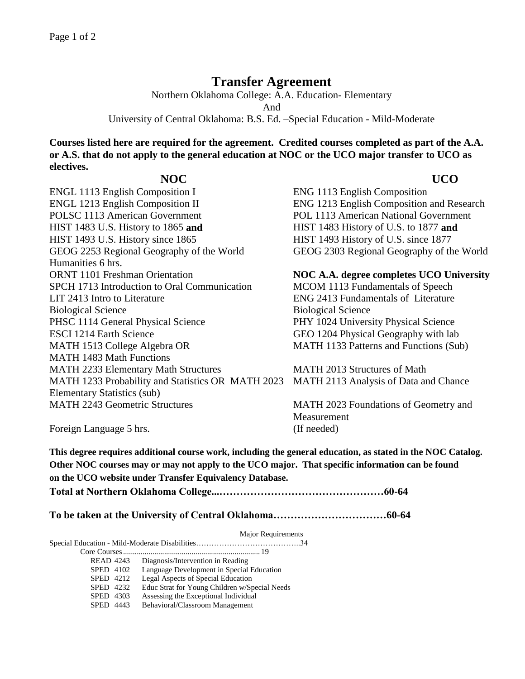## **Transfer Agreement**

Northern Oklahoma College: A.A. Education- Elementary And University of Central Oklahoma: B.S. Ed. –Special Education - Mild-Moderate

**Courses listed here are required for the agreement. Credited courses completed as part of the A.A. or A.S. that do not apply to the general education at NOC or the UCO major transfer to UCO as electives.** 

ENGL 1113 English Composition I ENG 1113 English Composition ENGL 1213 English Composition II ENG 1213 English Composition and Research POLSC 1113 American Government POL 1113 American National Government HIST 1483 U.S. History to 1865 **and** HIST 1483 History of U.S. to 1877 **and** HIST 1493 U.S. History since 1865 HIST 1493 History of U.S. since 1877 GEOG 2253 Regional Geography of the World GEOG 2303 Regional Geography of the World Humanities 6 hrs. ORNT 1101 Freshman Orientation **NOC A.A. degree completes UCO University** SPCH 1713 Introduction to Oral Communication MCOM 1113 Fundamentals of Speech LIT 2413 Intro to Literature ENG 2413 Fundamentals of Literature Biological Science Biological Science PHSC 1114 General Physical Science PHY 1024 University Physical Science ESCI 1214 Earth Science GEO 1204 Physical Geography with lab MATH 1513 College Algebra OR MATH 1483 Math Functions MATH 2233 Elementary Math Structures MATH 2013 Structures of Math MATH 1233 Probability and Statistics OR MATH 2023 Elementary Statistics (sub) MATH 2243 Geometric Structures MATH 2023 Foundations of Geometry and

 **NOC UCO** 

MATH 1133 Patterns and Functions (Sub)

MATH 2113 Analysis of Data and Chance

**Measurement** 

Foreign Language 5 hrs. (If needed)

**This degree requires additional course work, including the general education, as stated in the NOC Catalog. Other NOC courses may or may not apply to the UCO major. That specific information can be found on the UCO website under Transfer Equivalency Database.**

**Total at Northern Oklahoma College...…………………………………………60-64**

**To be taken at the University of Central Oklahoma……………………………60-64**

Major Requirements

Special Education - Mild-Moderate Disabilities…………………………………..34

Core Courses...................................................................... 19 READ 4243 Diagnosis/Intervention in Reading SPED 4102 Language Development in Special Education<br>SPED 4212 Legal Aspects of Special Education Legal Aspects of Special Education SPED 4232 Educ Strat for Young Children w/Special Needs SPED 4303 Assessing the Exceptional Individual SPED 4443 Behavioral/Classroom Management